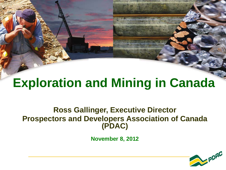# **Exploration and Mining in Canada**

#### **Ross Gallinger, Executive Director Prospectors and Developers Association of Canada (PDAC)**

**November 8, 2012**

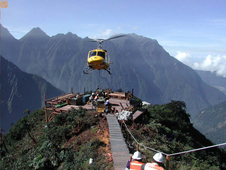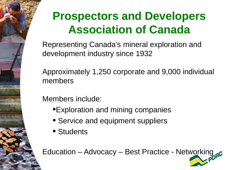

# **Prospectors and Developers Association of Canada**

Representing Canada's mineral exploration and development industry since 1932

Approximately 1,250 corporate and 9,000 individual members

Members include:

- •Exploration and mining companies
- Service and equipment suppliers
- Students

Education – Advocacy – Best Practice - Networking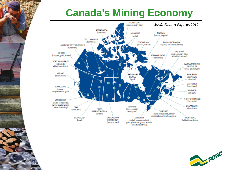# **Canada's Mining Economy**



**SEARCH** 

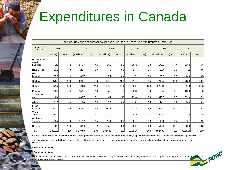# Expenditures in Canada

| EXPLORATION AND DEPOSIT APPRAISAL EXPENDITURES, <sup>1</sup> BY PROVINCE AND TERRITORY, 2007-2012 |               |      |               |      |               |      |               |      |               |                   |                   |      |
|---------------------------------------------------------------------------------------------------|---------------|------|---------------|------|---------------|------|---------------|------|---------------|-------------------|-------------------|------|
| Province /<br>Territory                                                                           | 2007          |      | 2008          |      | 2009          |      | 2010          |      |               | 2011 <sup>a</sup> | 2012 <sup>b</sup> |      |
|                                                                                                   | (\$ millions) | (% ) | (\$ millions) | (% ) | (\$ millions) | (% ) | (\$ millions) | (% ) | (\$ millions) | (% )              | (\$ millions)     | (% ) |
| Newfoundlan<br>d and<br>Labrador                                                                  | 148           | 5.2  | 146.7         | 4.5  | 54.9          | 2.8  | 105.2         | 3.8  | 172.1         | 4.4               | 233.8             | 5.6  |
| Nova Scotia                                                                                       | 23.5          | 0.8  | 21.4          | 0.7  | 9             | 0.5  | 16.7          | 0.6  | 12.7          | 0.3               | 21                | 0.5  |
| New<br>Brunswick                                                                                  | 35.8          | 1.3  | 32.7          |      | 8.1           | 0.4  | 17.1          | 0.6  | 25.2          | 0.6               | 20.6              | 0.5  |
| Quebec                                                                                            | 476.4         | 16.8 | 526.1         | 16   | 379.3         | 19.5 | 511.6         | 18.5 | 709.5         | 18.1              | 763.5             | 18.1 |
| Ontario                                                                                           | 571.7         | 20.2 | 799.3         | 24.4 | 536.2         | 27.6 | 853.4         | 30.9 | 1,021.90      | 26                | 916.2             | 21.8 |
| Manitoba                                                                                          | 102.6         | 3.6  | 152.1         | 4.6  | 97.8          | 51   | 83.5          | 3    | 110.5         | 2.8               | 125.6             | 3    |
| Saskatchew<br>lan                                                                                 | 314           | 11.1 | 430.7         | 13.1 | 311           | 16   | 299.4         | 10.8 | 349.7         | 8.9               | 299.4             | 7.1  |
| Alberta                                                                                           | 11.8          | 0.4  | 20.8          | 0.6  | 8.3           | 0.4  | 15.2          | 0.5  | 44.1          | 1.1               | 38.6              | 0.9  |
| <b>British</b><br>Columbia                                                                        | 470.6         | 16.6 | 435.4         | 13.3 | 217.1         | 11.2 | 374.4         | 13.5 | 567.7         | 14.5              | 812.3             | 19.3 |
| Yukon<br>Territory                                                                                | 144.7         | 5.1  | 134           | 4.1  | 90.9          | 4.7  | 156.9         | 5.7  | 306.6         | 7.8               | 285               | 6.8  |
| Northwest<br>Territories                                                                          | 193.7         | 6.8  | 147.7         | 4.5  | 44.1          | 2.3  | 81.7          | 2.9  | 105.4         | 2.7               | 124               | 2.9  |
| Nunavut                                                                                           | 338           | 11.9 | 432.6         | 13.2 | 187.6         | 9.6  | 256.7         | 9.3  | 502.3         | 12.8              | 568.6             | 13.5 |
| Total                                                                                             | 2,830.80      | 100  | 3,279.50      | 100  | 1,944.40      | 100  | 2,771.90      | 100  | 3,927.80      | 100               | 4,208.50          | 100  |

Source: Natural Resources Canada, from the federal-provincial-territorial Survey of Mineral Exploration, Deposit Appraisal and Mine Complex Development Expenditures.

Includes on-mine-site and off-mine-site activities; field work, overhead costs, engineering, economic and pre- or production feasibility studies, environment, and land access costs.

Preliminary estimates

**Spending intentions** 

Notes: Numbers may not add to totals due to rounding. Exploration and deposit appraisal activities include only the search for and appraisal of deposits and do not include work or extensions of known reserves. **In extensions of known reserves.**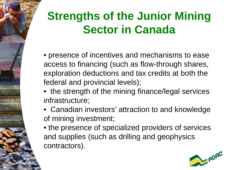# **Strengths of the Junior Mining Sector in Canada**

• presence of incentives and mechanisms to ease access to financing (such as flow-through shares, exploration deductions and tax credits at both the federal and provincial levels);

- the strength of the mining finance/legal services infrastructure;
- Canadian investors' attraction to and knowledge of mining investment;
- the presence of specialized providers of services and supplies (such as drilling and geophysics contractors).

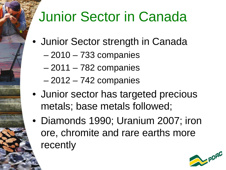# Junior Sector in Canada

- Junior Sector strength in Canada
	- $-2010 733$  companies
	- $-2011 782$  companies
	- $-2012 742$  companies
- Junior sector has targeted precious metals; base metals followed;
- Diamonds 1990; Uranium 2007; iron ore, chromite and rare earths more recently

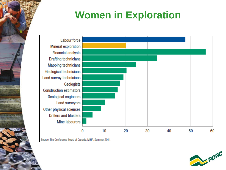## **Women in Exploration**



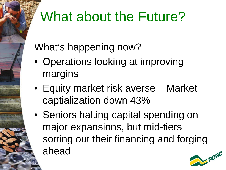# What about the Future?

What's happening now?

- Operations looking at improving margins
- Equity market risk averse Market captialization down 43%
- Seniors halting capital spending on major expansions, but mid-tiers sorting out their financing and forging ahead

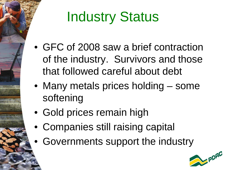# Industry Status

- GFC of 2008 saw a brief contraction of the industry. Survivors and those that followed careful about debt
- Many metals prices holding some softening
- Gold prices remain high
- Companies still raising capital
- Governments support the industry

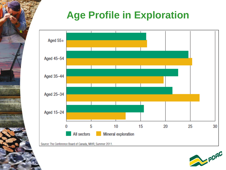# **Age Profile in Exploration**



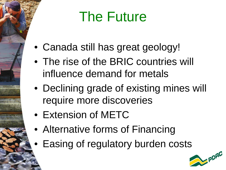# The Future

- Canada still has great geology!
- The rise of the BRIC countries will influence demand for metals
- Declining grade of existing mines will require more discoveries
- Extension of METC
- Alternative forms of Financing
- Easing of regulatory burden costs

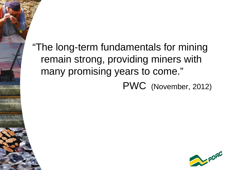"The long-term fundamentals for mining remain strong, providing miners with many promising years to come."

PWC (November, 2012)

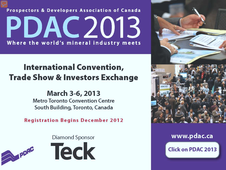Prospectors & Developers Association of Canada PDAC2013 Where the world's mineral industry meets

### **International Convention, Trade Show & Investors Exchange**

**March 3-6, 2013 Metro Toronto Convention Centre** South Building, Toronto, Canada

**Registration Begins December 2012** 

**Diamond Sponsor** 







www.pdac.ca

**Click on PDAC 2013**